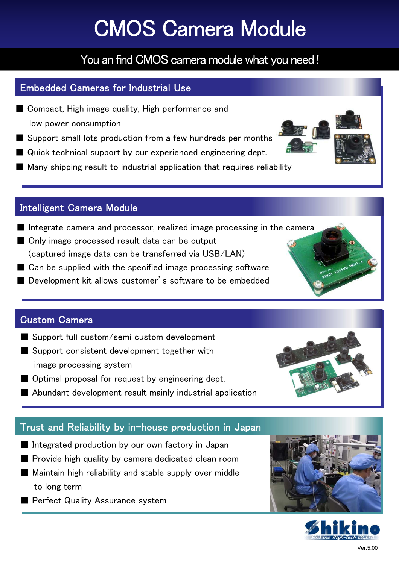# CMOS Camera Module

## You an find CMOS camera module what you need !

### Embedded Cameras for Industrial Use

- Compact, High image quality, High performance and low power consumption
- Support small lots production from a few hundreds per months
- Quick technical support by our experienced engineering dept.
- Many shipping result to industrial application that requires reliability

#### ngone Camore Intelligent Camera Module

- Integrate camera and processor, realized image processing in the camera
- Only image processed result data can be output (captured image data can be transferred via USB/LAN)
- Can be supplied with the specified image processing software
- Development kit allows customer's software to be embedded

#### ton Samora Custom Camera

- Support full custom/semi custom development
- Support consistent development together with image processing system
- Optimal proposal for request by engineering dept.
- Abundant development result mainly industrial application

### Trust and Reliability by in-house production in Japan

- Integrated production by our own factory in Japan
- Provide high quality by camera dedicated clean room
- Maintain high reliability and stable supply over middle to long term
- Perfect Quality Assurance system









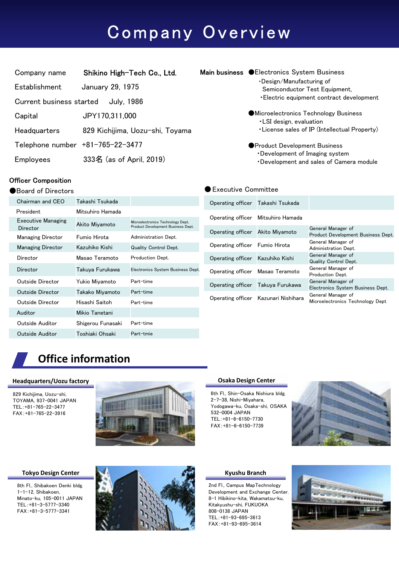# Company Overview

| Company name                     | Shikino High-Tech Co., Ltd.     |
|----------------------------------|---------------------------------|
| Establishment                    | January 29, 1975                |
| Current business started         | <b>July, 1986</b>               |
| Capital                          | JPY170,311,000                  |
| Headquarters                     | 829 Kichijima, Uozu-shi, Toyama |
| Telephone number +81-765-22-3477 |                                 |
| Employees                        | 333名 (as of April, 2019)        |

#### Officer Composition

#### ●Board of Directors

| Chairman and CEO                      | Takashi Tsukada   |                                                                         |
|---------------------------------------|-------------------|-------------------------------------------------------------------------|
| <b>President</b>                      | Mitsuhiro Hamada  |                                                                         |
| <b>Executive Managing</b><br>Director | Akito Miyamoto    | Microelectronics Technology Dept.<br>Product Development Business Dept. |
| <b>Managing Director</b>              | Fumio Hirota      | Administration Dept.                                                    |
| <b>Managing Director</b>              | Kazuhiko Kishi    | <b>Quality Control Dept.</b>                                            |
| Director                              | Masao Teramoto    | Production Dept.                                                        |
| Director                              | Takuya Furukawa   | Electronics System Business Dept.                                       |
| Outside Director                      | Yukio Miyamoto    | Part-time                                                               |
| Outside Director                      | Takako Miyamoto   | Part-time                                                               |
| Outside Director                      | Hisashi Saitoh    | Part-time                                                               |
| Auditor                               | Mikio Tanetani    |                                                                         |
| Outside Auditor                       | Shigerou Funasaki | Part-time                                                               |
| Outside Auditor                       | Toshiaki Ohsaki   | Part-tmie                                                               |

| Main business CElectronics System Business |  |
|--------------------------------------------|--|
| •Design/Manufacturing of                   |  |
| Semiconductor Test Equipment,              |  |
| • Electric equipment contract development  |  |

- ●Microelectronics Technology Business ・LSI design, evaluation
	- ・License sales of IP (Intellectual Property)
- ●Product Development Business ・Development of Imaging system ・Development and sales of Camera module

#### ● Executive Committee

| Operating officer Takashi Tsukada |                                      |                                                          |
|-----------------------------------|--------------------------------------|----------------------------------------------------------|
|                                   | Operating officer Mitsuhiro Hamada   |                                                          |
| Operating officer Akito Miyamoto  |                                      | General Manager of<br>Product Development Business Dept. |
| Operating officer Fumio Hirota    |                                      | General Manager of<br>Administration Dept.               |
| Operating officer Kazuhiko Kishi  |                                      | General Manager of<br><b>Quality Control Dept.</b>       |
| Operating officer Masao Teramoto  |                                      | General Manager of<br>Production Dept.                   |
| Operating officer Takuya Furukawa |                                      | General Manager of<br>Electronics System Business Dept.  |
|                                   | Operating officer Kazunari Nishihara | General Manager of<br>Microelectronics Technology Dept   |

## **Office information**

#### **Headeuarters/Uozu factory**

829 Kichijima, Uozu-shi, TOYAMA, 937-0041 JAPAN TEL:+81-765-22-3477 FAX:+81-765-22-3916



#### **Tokyo Design Center**

8th Fl., Shibakoen Denki bldg. 1-1-12, Shibakoen, Minato-ku, 105-0011 JAPAN TEL:+81-3-5777-3340 FAX:+81-3-5777-3341



#### **Osaka Design Center**

6th Fl., Shin-Osaka Nishiura bldg. 2-7-38, Nishi-Miyahara, Yodogawa-ku, Osaka-shi, OSAKA 532-0004 JAPAN TEL:+81-6-6150-7730 FAX:+81-6-6150-7739



#### **Kyushu Branch**

2nd Fl., Campus MapTechnology Development and Exchange Center. 8-1 Hibikino-kita, Wakamatsu-ku, Kitakyushu-shi, FUKUOKA 808-0138 JAPAN TEL:+81-93-695-3613 FAX:+81-93-695-3614

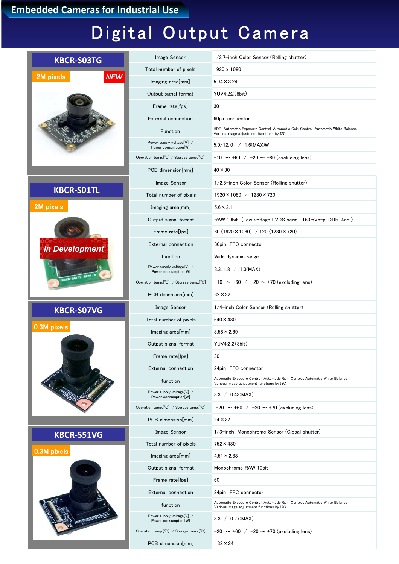## **Embedded Cameras for Industrial Use**

# Digital Output Camera

| <b>KBCR-S03TG</b>       | Image Sensor                                      | 1/2.7-inch Color Sensor (Rolling shutter)                                                                                     |
|-------------------------|---------------------------------------------------|-------------------------------------------------------------------------------------------------------------------------------|
|                         | Total number of pixels                            | 1920 x 1080                                                                                                                   |
| <b>NEW</b><br>2M pixels | Imaging area[mm]                                  | $5.94 \times 3.24$                                                                                                            |
|                         | Output signal format                              | YUV4:2:2 (8bit)                                                                                                               |
|                         | Frame rate[fps]                                   | 30                                                                                                                            |
|                         | External connection                               | 60pin connector                                                                                                               |
|                         | Function                                          | HDR, Automatic Exposure Control, Automatic Gain Control, Automatic White Balance<br>Various image adjustment functions by I2C |
|                         | Power supply voltage[V] /<br>Power consumption[W] | $5.0/12.0$ / 1.6(MAX)W                                                                                                        |
|                         | Operation temp.[°C] / Storage temp.[°C]           | $-10 \sim +60$ / $-20 \sim +80$ (excluding lens)                                                                              |
|                         | PCB dimension[mm]                                 | $40 \times 30$                                                                                                                |
|                         | Image Sensor                                      | 1/2.8-inch Color Sensor (Rolling shutter)                                                                                     |
| <b>KBCR-SO1TL</b>       | Total number of pixels                            | $1920 \times 1080$ / $1280 \times 720$                                                                                        |
| 2M pixels               | Imaging area[mm]                                  | $5.6 \times 3.1$                                                                                                              |
|                         | Output signal format                              | RAW 10bit (Low voltage LVDS serial 150mVp-p:DDR-4ch)                                                                          |
|                         | Frame rate[fps]                                   | 60 (1920 $\times$ 1080) / 120 (1280 $\times$ 720)                                                                             |
| <b>In Development</b>   | External connection                               | 30pin FFC connector                                                                                                           |
|                         | function                                          | Wide dynamic range                                                                                                            |
|                         | Power supply voltage[V] /<br>Power consumption[W] | 3.3, 1.8 $/$ 1.0(MAX)                                                                                                         |
| CBCR-SOITL REVI         | Operation temp.[°C] / Storage temp.[°C]           | $-10 \sim +60$ / $-20 \sim +70$ (excluding lens)                                                                              |
|                         | PCB dimension[mm]                                 | $32 \times 32$                                                                                                                |
|                         | Image Sensor                                      | 1/4-inch Color Sensor (Rolling shutter)                                                                                       |
| <b>KBCR-S07VG</b>       |                                                   |                                                                                                                               |
|                         | Total number of pixels                            | $640 \times 480$                                                                                                              |
| 0.3M pixels             | Imaging area[mm]                                  | $3.58 \times 2.69$                                                                                                            |
|                         | Output signal format                              | YUV4:2:2 (8bit)                                                                                                               |
|                         | Frame rate[fps]                                   | 30                                                                                                                            |
|                         | External connection                               | 24pin FFC connector                                                                                                           |
|                         | function                                          | Automatic Exposure Control, Automatic Gain Control, Automatic White Balance<br>Various image adjustment functions by I2C      |
|                         | Power supply voltage[V] /<br>Power consumption[W] | 3.3 / 0.43(MAX)                                                                                                               |
|                         | Operation temp.[°C] / Storage tamp.[°C]           | $-20 \sim +60$ / $-20 \sim +70$ (excluding lens)                                                                              |
|                         | PCB dimension[mm]                                 | $24 \times 27$                                                                                                                |
|                         | Image Sensor                                      | 1/3-inch Monochrome Sensor (Global shutter)                                                                                   |
| <b>KBCR-S51VG</b>       | Total number of pixels                            | $752 \times 480$                                                                                                              |
| 0.3M pixels             | Imaging area[mm]                                  | $4.51 \times 2.88$                                                                                                            |
|                         | Output signal format                              | Monochrome RAW 10bit                                                                                                          |
|                         | Frame rate[fps]                                   | 60                                                                                                                            |
|                         | External connection                               | 24pin FFC connector                                                                                                           |
|                         | function                                          | Automatic Exposure Control, Automatic Gain Control, Automatic White Balance<br>Various image adjustment functions by I2C      |
|                         | Power supply voltage[V] /<br>Power consumption[W] | 3.3 / 0.27(MAX)                                                                                                               |
|                         | Operation temp.[°C] / Storage tamp.[°C]           | $-20 \sim +60$ / $-20 \sim +70$ (excluding lens)                                                                              |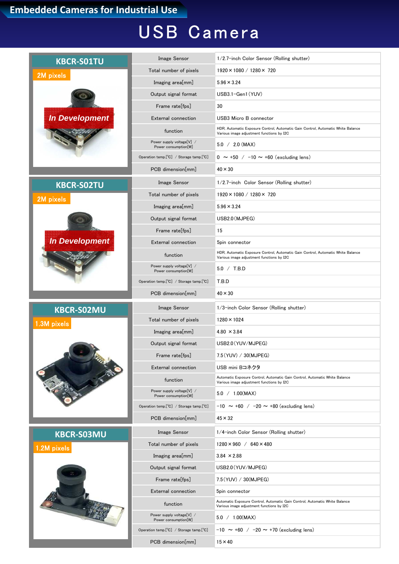# USB Camera

| <b>KBCR-S01TU</b>     | Image Sensor                                      | 1/2.7-inch Color Sensor (Rolling shutter)                                                                                     |
|-----------------------|---------------------------------------------------|-------------------------------------------------------------------------------------------------------------------------------|
| 2M pixels             | Total number of pixels                            | $1920 \times 1080 / 1280 \times 720$                                                                                          |
|                       | Imaging area[mm]                                  | $5.96 \times 3.24$                                                                                                            |
|                       | Output signal format                              | USB3.1-Gen1 (YUV)                                                                                                             |
|                       | Frame rate[fps]                                   | 30                                                                                                                            |
| <b>In Development</b> | External connection                               | USB3 Micro B connector                                                                                                        |
|                       | function                                          | HDR, Automatic Exposure Control, Automatic Gain Control, Automatic White Balance<br>Various image adjustment functions by I2C |
|                       | Power supply voltage[V] /<br>Power consumption[W] | $5.0 / 2.0$ (MAX)                                                                                                             |
|                       | Operation temp.[°C] / Storage tamp.[°C]           | $0 \sim +50$ / $-10 \sim +60$ (excluding lens)                                                                                |
|                       | PCB dimension[mm]                                 | $40 \times 30$                                                                                                                |
| <b>KBCR-S02TU</b>     | Image Sensor                                      | 1/2.7-inch Color Sensor (Rolling shutter)                                                                                     |
| 2M pixels             | Total number of pixels                            | $1920 \times 1080 / 1280 \times 720$                                                                                          |
|                       | Imaging area[mm]                                  | $5.96 \times 3.24$                                                                                                            |
|                       | Output signal format                              | USB2.0 (MJPEG)                                                                                                                |
|                       | Frame rate[fps]                                   | 15                                                                                                                            |
| <b>In Development</b> | <b>External connection</b>                        | 5pin connector                                                                                                                |
|                       | function                                          | HDR, Automatic Exposure Control, Automatic Gain Control, Automatic White Balance<br>Various image adjustment functions by I2C |
|                       | Power supply voltage[V] /<br>Power consumption[W] | 5.0 / T.B.D                                                                                                                   |
|                       | Operation temp.[°C] / Storage tamp.[°C]           | T.B.D                                                                                                                         |
|                       | PCB dimension[mm]                                 | $40 \times 30$                                                                                                                |
| <b>KBCR-S02MU</b>     | Image Sensor                                      | 1/3-inch Color Sensor (Rolling shutter)                                                                                       |
| 1.3M pixels           | Total number of pixels                            | $1280 \times 1024$                                                                                                            |
|                       | Imaging area[mm]                                  | $4.80 \times 3.84$                                                                                                            |
|                       | Output signal format                              | USB2.0 (YUV/MJPEG)                                                                                                            |
|                       | Frame rate[fps]                                   | 7.5 (YUV) / 30 (MJPEG)                                                                                                        |
|                       | External connection                               | USB mini Bコネクタ                                                                                                                |
|                       | function                                          | Automatic Exposure Control, Automatic Gain Control, Automatic White Balance<br>Various image adjustment functions by I2C      |
|                       | Power supply voltage[V] /<br>Power consumption[W] | 5.0 / 1.00(MAX)                                                                                                               |
|                       | Operation temp.[°C] / Storage tamp.[°C]           | $-10 \sim +60$ / $-20 \sim +80$ (excluding lens)                                                                              |
|                       | PCB dimension[mm]                                 | $45 \times 32$                                                                                                                |
| <b>KBCR-S03MU</b>     | <b>Image Sensor</b>                               | 1/4-inch Color Sensor (Rolling shutter)                                                                                       |
| 1.2M pixels           | Total number of pixels                            | $1280 \times 960$ / 640 $\times$ 480                                                                                          |
|                       | Imaging area[mm]                                  | $3.84 \times 2.88$                                                                                                            |
|                       | Output signal format                              | USB2.0 (YUV/MJPEG)                                                                                                            |
|                       | Frame rate[fps]                                   | 7.5(YUV) / 30(MJPEG)                                                                                                          |
|                       | External connection                               | 5pin connector                                                                                                                |
|                       | function                                          | Automatic Exposure Control, Automatic Gain Control, Automatic White Balance<br>Various image adjustment functions by I2C      |
|                       | Power supply voltage[V] /<br>Power consumption[W] | 5.0 / 1.00(MAX)                                                                                                               |
|                       | Operation temp.[°C] / Storage tamp.[°C]           | $-10 \sim +60$ / $-20 \sim +70$ (excluding lens)                                                                              |
|                       | PCB dimension[mm]                                 | $15 \times 40$                                                                                                                |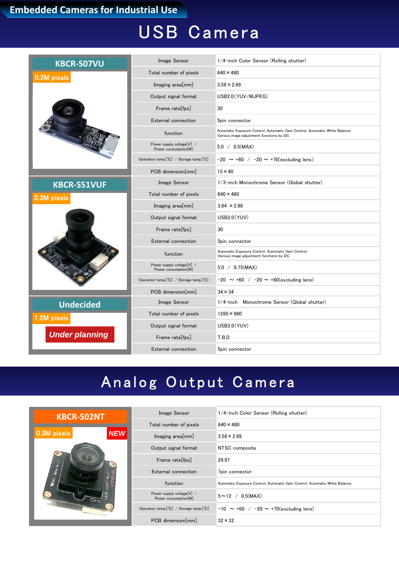# USB Camera

| <b>KBCR-S07VU</b>     | Image Sensor                                      | 1/4-inch Color Sensor (Rolling shutter)                                                                                  |
|-----------------------|---------------------------------------------------|--------------------------------------------------------------------------------------------------------------------------|
| 0.3M pixels           | Total number of pixels                            | $640 \times 480$                                                                                                         |
|                       | Imaging area[mm]                                  | $3.58 \times 2.69$                                                                                                       |
|                       | Output signal format                              | USB2.0 (YUV/MJPEG)                                                                                                       |
|                       | Frame rate[fps]                                   | 30                                                                                                                       |
|                       | <b>External connection</b>                        | 5pin connector                                                                                                           |
|                       | function                                          | Automatic Exposure Control, Automatic Gain Control, Automatic White Balance<br>Various image adjustment functions by I2C |
|                       | Power supply voltage[V] /<br>Power consumption[W] | $5.0 / 0.5$ (MAX)                                                                                                        |
|                       | Operation temp.[°C] / Storage tamp.[°C]           | $-20 \sim +60$ / $-20 \sim +70$ (excluding lens)                                                                         |
|                       | PCB dimension[mm]                                 | $15 \times 40$                                                                                                           |
| <b>KBCR-S51VUF</b>    | Image Sensor                                      | 1/3-inch Monochrome Sensor (Global shutter)                                                                              |
| 0.3M pixels           | Total number of pixels                            | $640 \times 480$                                                                                                         |
|                       | Imaging area[mm]                                  | $3.84 \times 2.88$                                                                                                       |
|                       | Output signal format                              | USB2.0 (YUV)                                                                                                             |
|                       | Frame rate[fps]                                   | 30                                                                                                                       |
|                       | External connection                               | 5pin connector                                                                                                           |
|                       | function                                          | Automatic Exposure Control, Automatic Gain Control,<br>Various image adjustment functions by I2C                         |
|                       | Power supply voltage[V] /<br>Power consumption[W] | $5.0 / 0.75$ (MAX)                                                                                                       |
|                       | Operation temp.[°C] / Storage tamp.[°C]           | $-20 \sim +60$ / $-20 \sim +80$ (excluding lens)                                                                         |
|                       | PCB dimension[mm]                                 | $34 \times 34$                                                                                                           |
| <b>Undecided</b>      | Image Sensor                                      | 1/4-inch Monochrome Sensor (Global shutter)                                                                              |
| 1.2M pixels           | Total number of pixels                            | $1280 \times 960$                                                                                                        |
|                       | Output signal format                              | USB2.0 (YUV)                                                                                                             |
| <b>Under planning</b> | Frame rate[fps]                                   | T.B.D                                                                                                                    |
|                       | External connection                               | 5pin connector                                                                                                           |

# Analog Output Camera

| <b>KBCR-SO2NT</b>         | Image Sensor                                      | 1/4-inch Color Sensor (Rolling shutter)                                     |
|---------------------------|---------------------------------------------------|-----------------------------------------------------------------------------|
|                           | Total number of pixels                            | $640 \times 480$                                                            |
| 0.3M pixels<br><b>NEW</b> | $Imaging \ area[mm]$                              | $3.58 \times 2.69$                                                          |
|                           | Output signal format                              | NTSC composite                                                              |
| <b>NSKOL-2MA SHI-9</b>    | Frame rate[fps]                                   | 29.97                                                                       |
|                           | External connection                               | 7pin connector                                                              |
|                           | function                                          | Automatic Exposure Control, Automatic Gain Control, Automatic White Balance |
|                           | Power supply voltage[V] /<br>Power consumption[W] | $5 \sim 12 / 0.5$ (MAX)                                                     |
|                           | Operation temp.[°C] / Storage tamp.[°C]           | $-10 \sim +60$ / $-20 \sim +70$ (excluding lens)                            |
|                           | PCB dimension [mm]                                | $32 \times 32$                                                              |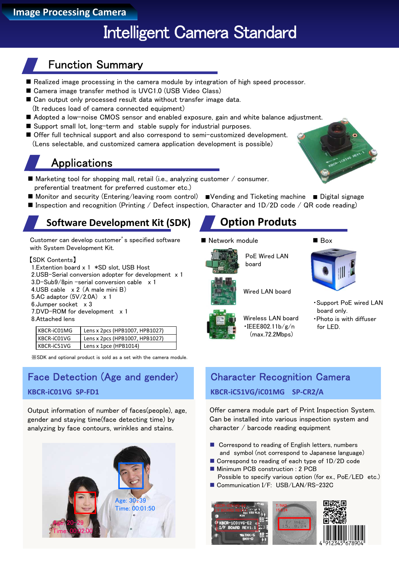# Intelligent Camera Standard

## Function Summary

- Realized image processing in the camera module by integration of high speed processor.
- Camera image transfer method is UVC1.0 (USB Video Class)
- Can output only processed result data without transfer image data. (It reduces load of camera connected equipment)
- Adopted a low-noise CMOS sensor and enabled exposure, gain and white balance adjustment.
- Support small lot, long-term and stable supply for industrial purposes.
- Offer full technical support and also correspond to semi-customized development. (Lens selectable, and customized camera application development is possible)

## **Applications**

- $\blacksquare$  Marketing tool for shopping mall, retail (i.e., analyzing customer / consumer. preferential treatment for preferred customer etc.)
- Monitor and security (Entering/leaving room control) ■Vending and Ticketing machine Digital signage
- **Inspection and recognition (Printing / Defect inspection, Character and 1D/2D code / QR code reading)**

## **Software Development Kit (SDK) Option Produts**

Customer can develop customer's specified software with System Development Kit.

#### 【SDK Contents】

- 1.Extention board x 1 \*SD slot, USB Host
- 2.USB-Serial conversion adopter for development x 1
- 3.D-Sub9/8pin –serial conversion cable x 1
- 4.USB cable x 2 (A male mini B)
- 5.AC adaptor (5V/2.0A) x 1 6.Jumper socket x 3
- 7.DVD-ROM for development x 1
- 8.Attached lens

| KBCR-iC01MG | Lens x 2pcs (HPB1007, HPB1027) |
|-------------|--------------------------------|
| KBCR-iC01VG | Lens x 2pcs (HPB1007, HPB1027) |
| KBCR-iC51VG | Lens x 1pce (HPB1014)          |

※SDK and optional product is sold as a set with the camera module.

## Face Detection (Age and gender)

#### **KBCR-iC01VG SP-FD1**

Output information of number of faces(people), age, gender and staying time(face detecting time) by analyzing by face contours, wrinkles and stains.



#### ■ Network module ■ Box



PoE Wired LAN board

Wired LAN board



- ・Support PoE wired LAN board only.
- ・Photo is with diffuser  $for$  LED.

## Character Recognition Camera

#### **KBCR-iC51VG/iC01MG SP-CR2/A**

Offer camera module part of Print Inspection System. Can be installed into various inspection system and character / barcode reading equipment

- Correspond to reading of English letters, numbers and symbol (not correspond to Japanese language)
- Correspond to reading of each type of 1D/2D code
- Minimum PCB construction : 2 PCB Possible to specify various option (for ex., PoE/LED etc.)
- Communication I/F: USB/LAN/RS-232C







Wireless LAN board  $\cdot$ IEEE802.11b/g/n

(max.72.2Mbps)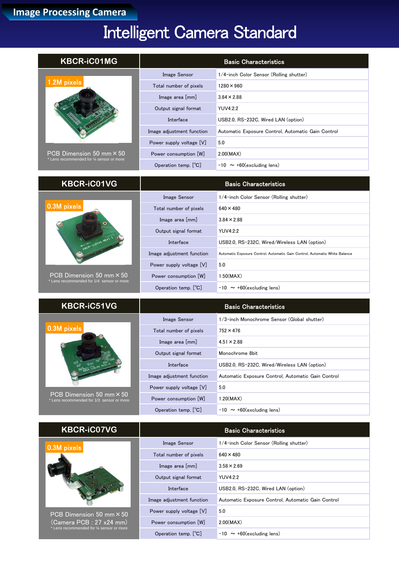# Intelligent Camera Standard

| <b>KBCR-iC01MG</b>                                                             |                           | <b>Basic Characteristics</b>                                                |
|--------------------------------------------------------------------------------|---------------------------|-----------------------------------------------------------------------------|
|                                                                                | Image Sensor              | 1/4-inch Color Sensor (Rolling shutter)                                     |
| 1.2M pixels                                                                    | Total number of pixels    | $1280 \times 960$                                                           |
|                                                                                | Image area [mm]           | $3.84 \times 2.88$                                                          |
|                                                                                | Output signal format      | <b>YUV4:2:2</b>                                                             |
|                                                                                | Interface                 | USB2.0, RS-232C, Wired LAN (option)                                         |
|                                                                                | Image adjustment function | Automatic Exposure Control, Automatic Gain Control                          |
|                                                                                | Power supply voltage [V]  | 5.0                                                                         |
| PCB Dimension 50 mm $\times$ 50                                                | Power consumption [W]     | 2.00(MAX)                                                                   |
| * Lens recommended for 1/4 sensor or more                                      | Operation temp. [°C]      | $-10 \sim +60$ (excluding lens)                                             |
|                                                                                |                           |                                                                             |
| <b>KBCR-iC01VG</b>                                                             |                           | <b>Basic Characteristics</b>                                                |
|                                                                                | Image Sensor              | 1/4-inch Color Sensor (Rolling shutter)                                     |
| 0.3M pixels                                                                    | Total number of pixels    | $640 \times 480$                                                            |
|                                                                                | Image area [mm]           | $3.84 \times 2.88$                                                          |
|                                                                                | Output signal format      | <b>YUV4:2:2</b>                                                             |
|                                                                                | Interface                 | USB2.0, RS-232C, Wired/Wireless LAN (option)                                |
|                                                                                | Image adjustment function | Automatic Exposure Control, Automatic Gain Control, Automatic White Balance |
|                                                                                | Power supply voltage [V]  | 5.0                                                                         |
| $PCB$ Dimension 50 mm $\times$ 50<br>* Lens recommended for 1/4 sensor or more | Power consumption [W]     | 1.50(MAX)                                                                   |
|                                                                                | Operation temp. [°C]      | $-10 \sim +60$ (excluding lens)                                             |
| <b>KBCR-iC51VG</b>                                                             |                           | <b>Basic Characteristics</b>                                                |
|                                                                                | Image Sensor              | 1/3-inch Monochrome Sensor (Global shutter)                                 |
| 0.3M pixels                                                                    | Total number of pixels    | $752 \times 476$                                                            |
|                                                                                | Image area [mm]           | $4.51 \times 2.88$                                                          |
|                                                                                | Output signal format      | Monochrome 8bit                                                             |
|                                                                                | Interface                 | USB2.0, RS-232C, Wired/Wireless LAN (option)                                |
|                                                                                | Image adjustment function | Automatic Exposure Control, Automatic Gain Control                          |
|                                                                                | Power supply voltage [V]  | 5.0                                                                         |
| PCB Dimension 50 mm $\times$ 50<br>* Lens recommended for 1/3 sensor or more   | Power consumption [W]     | 1.20(MAX)                                                                   |
|                                                                                | Operation temp. [°C]      | $-10 \sim +60$ (excluding lens)                                             |
|                                                                                |                           |                                                                             |
| <b>KBCR-iC07VG</b>                                                             |                           | <b>Basic Characteristics</b>                                                |
| 0.3M pixels                                                                    | Image Sensor              | 1/4-inch Color Sensor (Rolling shutter)                                     |
|                                                                                | Total number of pixels    | $640 \times 480$                                                            |
|                                                                                | Image area [mm]           | $3.58 \times 2.69$                                                          |
|                                                                                | Output signal format      | <b>YUV4:2:2</b>                                                             |
|                                                                                |                           |                                                                             |

PCB Dimension 50 mm×50 (Camera PCB : 27 x24 mm) \* Lens recommended for ¼ sensor or more

| Protain indirible of practice | .                                                  |
|-------------------------------|----------------------------------------------------|
| Image area [mm]               | $3.58 \times 2.69$                                 |
| Output signal format          | YUV4:2:2                                           |
| Interface                     | USB2.0, RS-232C, Wired LAN (option)                |
| Image adjustment function     | Automatic Exposure Control, Automatic Gain Control |
| Power supply voltage [V]      | 5.0                                                |
| Power consumption [W]         | 2.00(MAX)                                          |
| Operation temp. [C]           | $-10 \sim +60$ (excluding lens)                    |
|                               |                                                    |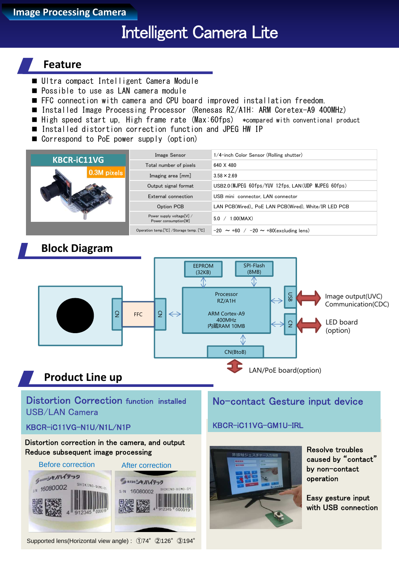**Image Processing Camera**

# Intelligent Camera Lite

### **Feature**

- Ultra compact Intelligent Camera Module
- **Possible to use as LAN camera module**
- FFC connection with camera and CPU board improved installation freedom.
- Installed Image Processing Processor (Renesas RZ/A1H: ARM Coretex-A9 400MHz)
- $\blacksquare$  High speed start up. High frame rate (Max:60fps) \*compared with conventional product
- Installed distortion correction function and JPEG HW IP
- Correspond to PoE power supply (option)

| <b>KBCR-iC11VG</b> | <b>Image Sensor</b>                               | 1/4-inch Color Sensor (Rolling shutter)              |
|--------------------|---------------------------------------------------|------------------------------------------------------|
|                    | Total number of pixels                            | 640 X 480                                            |
| 0.3M pixels        | Imaging area [mm]                                 | $3.58 \times 2.69$                                   |
|                    | Output signal format                              | USB2.0(MJPEG 60fps/YUV 12fps, LAN(UDP MJPEG 60fps)   |
|                    | External connection                               | USB mini connector. LAN connector                    |
|                    | Option PCB                                        | LAN PCB(Wired), PoE LAN PCB(Wired), White/IR LED PCB |
|                    | Power supply voltage[V] /<br>Power consumption[W] | .00(MAX)<br>5.0                                      |
|                    | Operation temp.[°C] /Storage temp. [°C]           | $-20 \sim +60$ / $-20 \sim +80$ (excluding lens)     |

### **Block Diagram**



### **Product Line up**

Distortion Correction function installed USB/LAN Camera

#### KBCR-iC11VG-N1U/N1L/N1P

#### Distortion correction in the camera, and output Reduce subsequent image processing



Supported lens(Horizontal view angle) : ①74°②126°③194°

### No-contact Gesture input device

### KBCR-iC11VG-GM1U-IRL



Resolve troubles caused by "contact" by non-contact operation

Easy gesture input with USB connection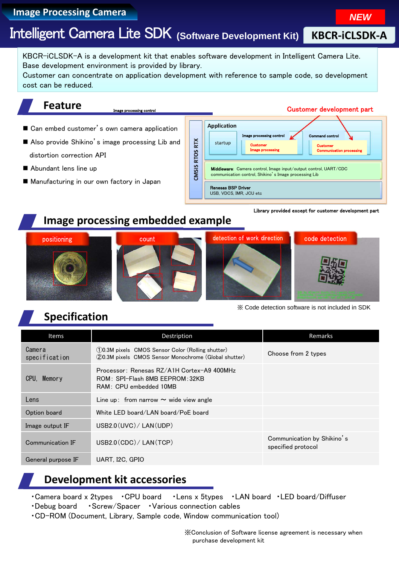## **Image Processing Camera**<br> **Image Processing Camera**

# Intelligent Camera Lite SDK **(Software Development Kit)**

KBCR-iCLSDK-A is a development kit that enables software development in Intelligent Camera Lite. Base development environment is provided by library.

Customer can concentrate on application development with reference to sample code, so development cost can be reduced.

### **Feature**

#### Customer development part

- Can embed customer's own camera application
- Also provide Shikino's image processing Lib and distortion correction API
- Abundant lens line up
- Manufacturing in our own factory in Japan



Library provided except for customer development part

### **Image processing embedded example**

age processing contro



※ Code detection software is not included in SDK

## **Specification**

| <b>Items</b>            | Destription                                                                                                  | Remarks                                          |
|-------------------------|--------------------------------------------------------------------------------------------------------------|--------------------------------------------------|
| Camera<br>specification | (1)0.3M pixels CMOS Sensor Color (Rolling shutter)<br>(2)0.3M pixels CMOS Sensor Monochrome (Global shutter) | Choose from 2 types                              |
| CPU, Memory             | Processor: Renesas RZ/A1H Cortex-A9 400MHz<br>ROM: SPI-Flash 8MB EEPROM: 32KB<br>RAM: CPU embedded 10MB      |                                                  |
| Lens                    | Line up: from narrow $\sim$ wide view angle                                                                  |                                                  |
| Option board            | White LED board/LAN board/PoE board                                                                          |                                                  |
| Image output IF         | USB2.0(UVC) / LAN (UDP)                                                                                      |                                                  |
| Communication IF        | USB2.0 (CDC)/ LAN (TCP)                                                                                      | Communication by Shikino's<br>specified protocol |
| General purpose IF      | UART, I2C, GPIO                                                                                              |                                                  |

## **Development kit accessories**

・Camera board x 2types ・CPU board ・Lens x 5types ・LAN board ・LED board/Diffuser

- ・Debug board ・Screw/Spacer ・Various connection cables
- ・CD-ROM (Document, Library, Sample code, Window communication tool)

※Conclusion of Software license agreement is necessary when purchase development kit

**KBCR-iCLSDK-A**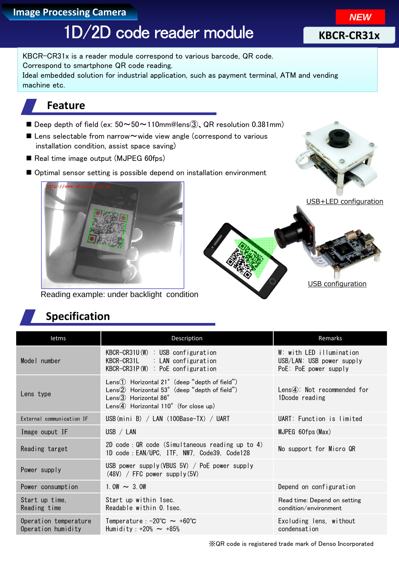### **Image Processing Camera**

# 1D/2D code reader module

KBCR-CR31x is a reader module correspond to various barcode, QR code. Correspond to smartphone QR code reading. Ideal embedded solution for industrial application, such as payment terminal, ATM and vending machine etc.

## **Feature**

- Deep depth of field (ex:  $50 \sim 50 \sim 110$ mm@lens $\textcircled{3}$ , QR resolution 0.381mm)
- Lens selectable from narrow $\sim$  wide view angle (correspond to various installation condition, assist space saving)
- Real time image output (MJPEG 60fps)
- Optimal sensor setting is possible depend on installation environment



USB+LED configuration

USB configuration



Reading example: under backlight condition

## **Specification**

| letms                                       | Description                                                                                                                                                                | Remarks                                                                        |
|---------------------------------------------|----------------------------------------------------------------------------------------------------------------------------------------------------------------------------|--------------------------------------------------------------------------------|
| Model number                                | $KBCR-CR31U(W)$ : USB configuration<br>KBCR-CR31L : LAN configuration<br>$KBCR-CR31P(W)$ : PoE configuration                                                               | W: with LED illumination<br>USB/LAN: USB power supply<br>PoE: PoE power supply |
| Lens type                                   | Lens $\odot$ Horizontal 21° (deep "depth of field")<br>Lens2 Horizontal 53° (deep "depth of field")<br>Lens $(3)$ Horizontal 86°<br>Lens 4) Horizontal 110° (for close up) | $Lens(4)$ : Not recommended for<br>1Dcode reading                              |
| External communication IF                   | $\overline{UBB}$ (mini B) / LAN (100Base-TX) / UART                                                                                                                        | UART: Function is limited                                                      |
| Image ouput IF                              | USB / LAN                                                                                                                                                                  | MJPEG 60fps (Max)                                                              |
| Reading target                              | 2D code: QR code (Simultaneous reading up to 4)<br>1D code: EAN/UPC, ITF, NW7, Code39, Code128                                                                             | No support for Micro QR                                                        |
| Power supply                                | USB power supply (VBUS 5V) / PoE power supply<br>$(48V)$ / FFC power supply $(5V)$                                                                                         |                                                                                |
| Power consumption                           | $1.0W \sim 3.0W$                                                                                                                                                           | Depend on configuration                                                        |
| Start up time,<br>Reading time              | Start up within 1sec.<br>Readable within 0.1sec.                                                                                                                           | Read time: Depend on setting<br>condition/environment                          |
| Operation temperature<br>Operation humidity | Temperature : $-20^{\circ}$ C $\sim +60^{\circ}$ C<br>Humidity: $+20\% \sim +85\%$                                                                                         | Excluding lens, without<br>condensation                                        |

**NEW**

**KBCR-CR31x**

### ※QR code is registered trade mark of Denso Incorporated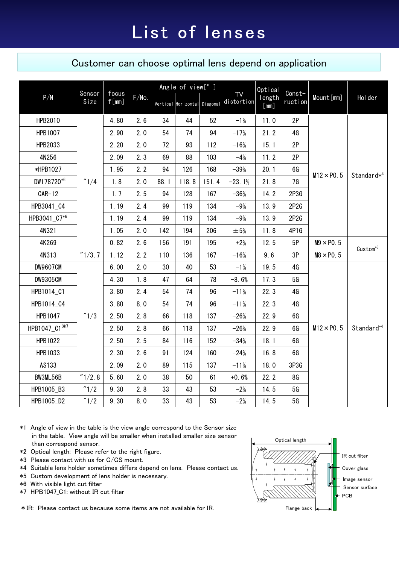### Customer can choose optimal lens depend on application

| Sensor<br>P/N<br>Size    |                       |       |     | Angle of view[°]             |       |                         |                | Optical           |            |                   |                        |
|--------------------------|-----------------------|-------|-----|------------------------------|-------|-------------------------|----------------|-------------------|------------|-------------------|------------------------|
|                          | focus<br>f[mm]        | F/No. |     | Vertical Horizontal Diagonal |       | <b>TV</b><br>distortion | length<br>[mm] | Const-<br>ruction | Mount [mm] | Holder            |                        |
| HPB2010                  |                       | 4.80  | 2.6 | 34                           | 44    | 52                      | $-1%$          | 11.0              | 2P         |                   |                        |
| HPB1007                  |                       | 2.90  | 2.0 | 54                           | 74    | 94                      | $-17%$         | 21.2              | 4G         |                   |                        |
| HPB2033                  |                       | 2.20  | 2.0 | 72                           | 93    | 112                     | $-16%$         | 15.1              | 2P         |                   |                        |
| 4N256                    |                       | 2.09  | 2.3 | 69                           | 88    | 103                     | $-4%$          | 11.2              | 2P         |                   |                        |
| *HPB1027                 |                       | 1.95  | 2.2 | 94                           | 126   | 168                     | $-39%$         | 20.1              | 6G         |                   |                        |
| DW178720*6               | $^{\prime\prime}$ 1/4 | 1.8   | 2.0 | 88.1                         | 118.8 | 151.4                   | $-23.1%$       | 21.8              | 7G         | $M12 \times P0.5$ | Standard* <sup>4</sup> |
| $CAR-12$                 |                       | 1.7   | 2.5 | 94                           | 128   | 167                     | $-36%$         | 14.2              | 2P3G       |                   |                        |
| HPB3041_C4               |                       | 1.19  | 2.4 | 99                           | 119   | 134                     | $-9%$          | 13.9              | 2P2G       |                   |                        |
| HPB3041_C7*6             |                       | 1.19  | 2.4 | 99                           | 119   | 134                     | $-9%$          | 13.9              | 2P2G       |                   |                        |
| 4N321                    |                       | 1.05  | 2.0 | 142                          | 194   | 206                     | $\pm 5%$       | 11.8              | 4P1G       |                   |                        |
| 4K269                    |                       | 0.82  | 2.6 | 156                          | 191   | 195                     | $+2%$          | 12.5              | 5P         | $M9 \times P0.5$  | Custom <sup>*5</sup>   |
| 4N313                    | ''1/3.7               | 1.12  | 2.2 | 110                          | 136   | 167                     | $-16%$         | 9.6               | 3P         | $MS \times PO.5$  |                        |
| <b>DW9607CM</b>          |                       | 6.00  | 2.0 | 30                           | 40    | 53                      | $-1%$          | 19.5              | 4G         |                   |                        |
| <b>DW9305CM</b>          |                       | 4.30  | 1.8 | 47                           | 64    | 78                      | $-8.6%$        | 17.3              | 5G         |                   |                        |
| HPB1014_C1               |                       | 3.80  | 2.4 | 54                           | 74    | 96                      | $-11%$         | 22.3              | 4G         |                   |                        |
| HPB1014_C4               |                       | 3.80  | 8.0 | 54                           | 74    | 96                      | $-11%$         | 22.3              | 4G         |                   |                        |
| HPB1047                  | $^{\prime\prime}$ 1/3 | 2.50  | 2.8 | 66                           | 118   | 137                     | $-26%$         | 22.9              | 6G         |                   |                        |
| HPB1047_C1 <sup>注7</sup> |                       | 2.50  | 2.8 | 66                           | 118   | 137                     | $-26%$         | 22.9              | 6G         | $M12 \times P0.5$ | Standard*4             |
| HPB1022                  |                       | 2.50  | 2.5 | 84                           | 116   | 152                     | $-34%$         | 18.1              | 6G         |                   |                        |
| HPB1033                  |                       | 2.30  | 2.6 | 91                           | 124   | 160                     | $-24%$         | 16.8              | 6G         |                   |                        |
| AS133                    |                       | 2.09  | 2.0 | 89                           | 115   | 137                     | $-11%$         | 18.0              | 3P3G       |                   |                        |
| BW3ML56B                 | "1/2.8                | 5.60  | 2.0 | 38                           | 50    | 61                      | $+0.6%$        | 22.2              | 8G         |                   |                        |
| HPB1005_B3               | $^{\prime\prime}$ 1/2 | 9.30  | 2.8 | 33                           | 43    | 53                      | $-2%$          | 14.5              | 5G         |                   |                        |
| HPB1005_D2               | $^{\prime\prime}$ 1/2 | 9.30  | 8.0 | 33                           | 43    | 53                      | $-2%$          | 14.5              | 5G         |                   |                        |

- \*1 Angle of view in the table is the view angle correspond to the Sensor size in the table. View angle will be smaller when installed smaller size sensor than correspond sensor.
- \*2 Optical length: Please refer to the right figure.
- \*3 Please contact with us for C/CS mount.
- \*4 Suitable lens holder sometimes differs depend on lens. Please contact us.
- \*5 Custom development of lens holder is necessary.
- \*6 With visible light cut filter
- \*7 HPB1047\_C1: without IR cut filter

\*IR: Please contact us because some items are not available for IR.